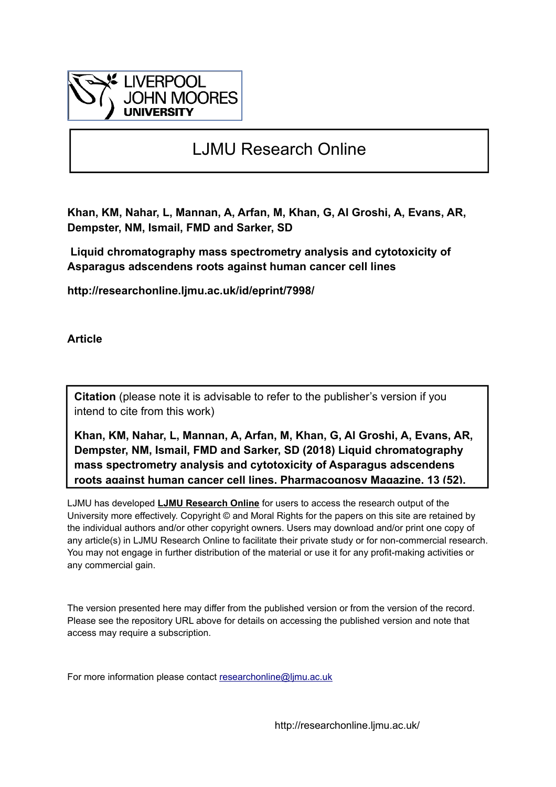

# LJMU Research Online

**Khan, KM, Nahar, L, Mannan, A, Arfan, M, Khan, G, Al Groshi, A, Evans, AR, Dempster, NM, Ismail, FMD and Sarker, SD**

 **Liquid chromatography mass spectrometry analysis and cytotoxicity of Asparagus adscendens roots against human cancer cell lines**

**http://researchonline.ljmu.ac.uk/id/eprint/7998/**

**Article**

**Citation** (please note it is advisable to refer to the publisher's version if you intend to cite from this work)

**Khan, KM, Nahar, L, Mannan, A, Arfan, M, Khan, G, Al Groshi, A, Evans, AR, Dempster, NM, Ismail, FMD and Sarker, SD (2018) Liquid chromatography mass spectrometry analysis and cytotoxicity of Asparagus adscendens roots against human cancer cell lines. Pharmacognosy Magazine, 13 (52).** 

LJMU has developed **[LJMU Research Online](http://researchonline.ljmu.ac.uk/)** for users to access the research output of the University more effectively. Copyright © and Moral Rights for the papers on this site are retained by the individual authors and/or other copyright owners. Users may download and/or print one copy of any article(s) in LJMU Research Online to facilitate their private study or for non-commercial research. You may not engage in further distribution of the material or use it for any profit-making activities or any commercial gain.

The version presented here may differ from the published version or from the version of the record. Please see the repository URL above for details on accessing the published version and note that access may require a subscription.

For more information please contact researchonline@limu.ac.uk

http://researchonline.ljmu.ac.uk/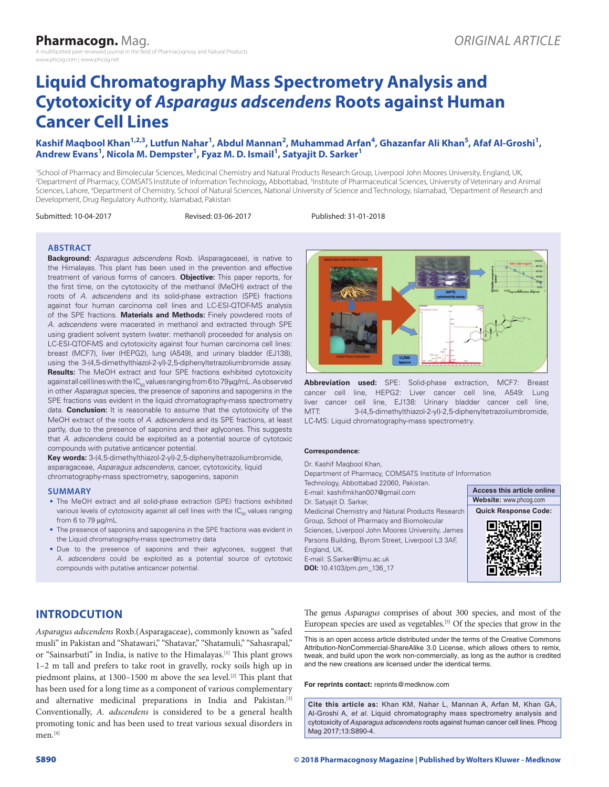# **Liquid Chromatography Mass Spectrometry Analysis and Cytotoxicity of** *Asparagus adscendens* **Roots against Human Cancer Cell Lines**

### Kashif Maqbool Khan<sup>1,2,3</sup>, Lutfun Nahar<sup>1</sup>, Abdul Mannan<sup>2</sup>, Muhammad Arfan<sup>4</sup>, Ghazanfar Ali Khan<sup>5</sup>, Afaf Al-Groshi<sup>1</sup>, **Andrew Evans1 , Nicola M. Dempster1 , Fyaz M. D. Ismail1 , Satyajit D. Sarker1**

1 School of Pharmacy and Bimolecular Sciences, Medicinal Chemistry and Natural Products Research Group, Liverpool John Moores University, England, UK, <sup>2</sup>Department of Pharmacy, COMSATS Institute of Information Technology, Abbottabad, <sup>3</sup>Institute of Pharmaceutical Sciences, University of Veterinary and Animal Sciences, Lahore, <sup>4</sup>Department of Chemistry, School of Natural Sciences, National University of Science and Technology, Islamabad, <sup>5</sup>Department of Research and Development, Drug Regulatory Authority, Islamabad, Pakistan

Submitted: 10-04-2017 Revised: 03-06-2017 Published: 31-01-2018

#### **ABSTRACT**

**Background:** *Asparagus adscendens* Roxb. (Asparagaceae), is native to the Himalayas. This plant has been used in the prevention and effective treatment of various forms of cancers. **Objective:** This paper reports, for the first time, on the cytotoxicity of the methanol (MeOH) extract of the roots of *A. adscendens* and its solid‑phase extraction (SPE) fractions against four human carcinoma cell lines and LC-ESI-QTOF-MS analysis of the SPE fractions. **Materials and Methods:** Finely powdered roots of *A. adscendens* were macerated in methanol and extracted through SPE using gradient solvent system (water: methanol) proceeded for analysis on LC-ESI-QTOF-MS and cytotoxicity against four human carcinoma cell lines: breast (MCF7), liver (HEPG2), lung (A549), and urinary bladder (EJ138), using the 3-(4,5-dimethylthiazol-2-yl)-2,5-diphenyltetrazoliumbromide assay. **Results:** The MeOH extract and four SPE fractions exhibited cytotoxicity against all cell lines with the  $IC_{50}$  values ranging from 6 to 79  $\mu$ g/mL. As observed in other *Asparagus* species, the presence of saponins and sapogenins in the SPE fractions was evident in the liquid chromatography-mass spectrometry data. **Conclusion:** It is reasonable to assume that the cytotoxicity of the MeOH extract of the roots of *A. adscendens* and its SPE fractions, at least partly, due to the presence of saponins and their aglycones. This suggests that *A. adscendens* could be exploited as a potential source of cytotoxic compounds with putative anticancer potential.

**Key words:** 3‑(4,5‑dimethylthiazol‑2‑yl)‑2,5‑diphenyltetrazoliumbromide, asparagaceae, *Asparagus adscendens*, cancer, cytotoxicity, liquid chromatography‑mass spectrometry, sapogenins, saponin

#### **SUMMARY**

- The MeOH extract and all solid-phase extraction (SPE) fractions exhibited various levels of cytotoxicity against all cell lines with the  $IC_{50}$  values ranging from 6 to 79 µg/mL
- The presence of saponins and sapogenins in the SPE fractions was evident in the Liquid chromatography-mass spectrometry data
- Due to the presence of saponins and their aglycones, suggest that *A. adscendens* could be exploited as a potential source of cytotoxic compounds with putative anticancer potential.



**Abbreviation used:** SPE: Solid‑phase extraction, MCF7: Breast cancer cell line, HEPG2: Liver cancer cell line, A549: Lung liver cancer cell line, EJ138: Urinary bladder cancer cell line, MTT: 3-(4,5-dimethylthiazol-2-yl)-2,5-diphenyltetrazoliumbromide, LC-MS: Liquid chromatography-mass spectrometry.

#### **Correspondence:**

Dr. Kashif Maqbool Khan, Department of Pharmacy, COMSATS Institute of Information Technology, Abbottabad 22060, Pakistan. E‑mail: kashifmkhan007@gmail.com **Access this article online**

Dr. Satyajit D. Sarker, Medicinal Chemistry and Natural Products Research Group, School of Pharmacy and Biomolecular Sciences, Liverpool John Moores University, James Parsons Building, Byrom Street, Liverpool L3 3AF, England, UK. E‑mail: S.Sarker@ljmu.ac.uk **DOI:** 10.4103/pm.pm\_136\_17



# **INTRODCUTION**

*Asparagus adscendens* Roxb.(Asparagaceae), commonly known as "safed musli" in Pakistan and "Shatawari," "Shatavar," "Shatamuli," "Sahasrapal," or "Sainsarbuti" in India, is native to the Himalayas.[1] This plant grows 1–2 m tall and prefers to take root in gravelly, rocky soils high up in piedmont plains, at 1300-1500 m above the sea level.<sup>[2]</sup> This plant that has been used for a long time as a component of various complementary and alternative medicinal preparations in India and Pakistan.[3] Conventionally, *A. adscendens* is considered to be a general health promoting tonic and has been used to treat various sexual disorders in men.<sup>[4]</sup>

The genus *Asparagus* comprises of about 300 species, and most of the European species are used as vegetables.<sup>[5]</sup> Of the species that grow in the

This is an open access article distributed under the terms of the Creative Commons Attribution-NonCommercial-ShareAlike 3.0 License, which allows others to remix, tweak, and build upon the work non‑commercially, as long as the author is credited and the new creations are licensed under the identical terms.

**For reprints contact:** reprints@medknow.com

**Cite this article as:** Khan KM, Nahar L, Mannan A, Arfan M, Khan GA, Al-Groshi A, *et al*. Liquid chromatography mass spectrometry analysis and cytotoxicity of *Asparagus adscendens* roots against human cancer cell lines. Phcog Mag 2017;13:S890-4.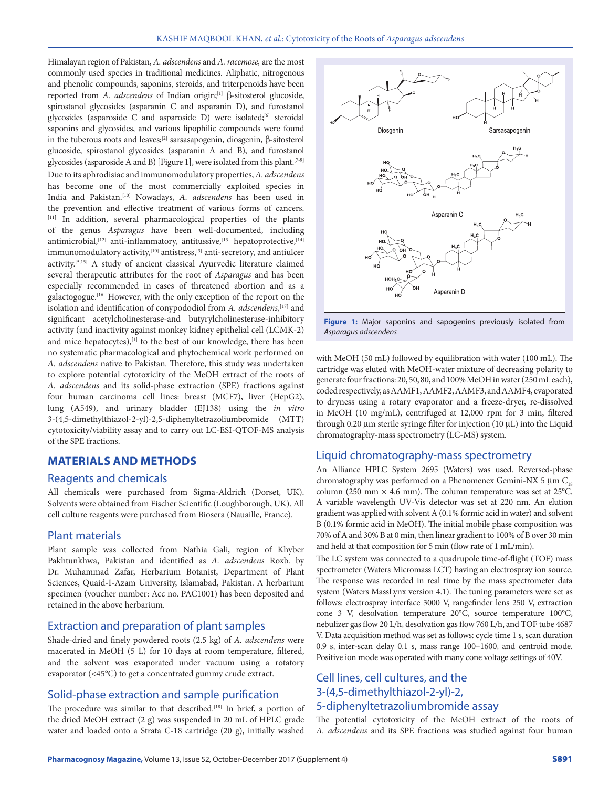Himalayan region of Pakistan, *A. adscendens* and *A. racemose,* are the most commonly used species in traditional medicines. Aliphatic, nitrogenous and phenolic compounds, saponins, steroids, and triterpenoids have been reported from *A. adscendens* of Indian origin;<sup>[1]</sup> β-sitosterol glucoside, spirostanol glycosides (asparanin C and asparanin D), and furostanol glycosides (asparoside C and asparoside D) were isolated;<sup>[6]</sup> steroidal saponins and glycosides, and various lipophilic compounds were found in the tuberous roots and leaves;<sup>[2]</sup> sarsasapogenin, diosgenin,  $\beta$ -sitosterol glucoside, spirostanol glycosides (asparanin A and B), and furostanol glycosides (asparoside A and B) [Figure 1], were isolated from this plant.<sup>[7-9]</sup> Due to its aphrodisiac and immunomodulatory properties, *A. adscendens* has become one of the most commercially exploited species in India and Pakistan.[10] Nowadays, *A. adscendens* has been used in the prevention and effective treatment of various forms of cancers. [11] In addition, several pharmacological properties of the plants of the genus *Asparagus* have been well‑documented, including antimicrobial,<sup>[12]</sup> anti-inflammatory, antitussive,<sup>[13]</sup> hepatoprotective,<sup>[14]</sup> immunomodulatory activity,<sup>[10]</sup> antistress,<sup>[3]</sup> anti-secretory, and antiulcer activity.[5,15] A study of ancient classical Ayurvedic literature claimed several therapeutic attributes for the root of *Asparagus* and has been especially recommended in cases of threatened abortion and as a galactogogue.[16] However, with the only exception of the report on the isolation and identification of conypododiol from *A. adscendens,*[17] and significant acetylcholinesterase-and butyrylcholinesterase-inhibitory activity (and inactivity against monkey kidney epithelial cell (LCMK‑2) and mice hepatocytes),<sup>[1]</sup> to the best of our knowledge, there has been no systematic pharmacological and phytochemical work performed on *A. adscendens* native to Pakistan*.* Therefore, this study was undertaken to explore potential cytotoxicity of the MeOH extract of the roots of *A. adscendens* and its solid‑phase extraction (SPE) fractions against four human carcinoma cell lines: breast (MCF7), liver (HepG2), lung (A549), and urinary bladder (EJ138) using the *in vitro*  3‑(4,5‑dimethylthiazol‑2‑yl)‑2,5‑diphenyltetrazoliumbromide (MTT) cytotoxicity/viability assay and to carry out LC‑ESI‑QTOF‑MS analysis of the SPE fractions.

# **MATERIALS AND METHODS**

#### Reagents and chemicals

All chemicals were purchased from Sigma‑Aldrich (Dorset, UK). Solvents were obtained from Fischer Scientific (Loughborough, UK). All cell culture reagents were purchased from Biosera (Nauaille, France).

#### Plant materials

Plant sample was collected from Nathia Gali, region of Khyber Pakhtunkhwa, Pakistan and identified as *A. adscendens* Roxb. by Dr. Muhammad Zafar, Herbarium Botanist, Department of Plant Sciences, Quaid‑I‑Azam University, Islamabad, Pakistan. A herbarium specimen (voucher number: Acc no. PAC1001) has been deposited and retained in the above herbarium.

# Extraction and preparation of plant samples

Shade‑dried and finely powdered roots (2.5 kg) of *A. adscendens* were macerated in MeOH (5 L) for 10 days at room temperature, filtered, and the solvent was evaporated under vacuum using a rotatory evaporator (<45°C) to get a concentrated gummy crude extract.

## Solid-phase extraction and sample purification

The procedure was similar to that described.<sup>[18]</sup> In brief, a portion of the dried MeOH extract (2 g) was suspended in 20 mL of HPLC grade water and loaded onto a Strata C‑18 cartridge (20 g), initially washed



Figure 1: Major saponins and sapogenins previously isolated from *Asparagus adscendens*

with MeOH (50 mL) followed by equilibration with water (100 mL). The cartridge was eluted with MeOH‑water mixture of decreasing polarity to generate four fractions: 20, 50, 80, and 100% MeOH in water (250 mL each), coded respectively, as AAMF1, AAMF2, AAMF3, and AAMF4, evaporated to dryness using a rotary evaporator and a freeze‑dryer, re‑dissolved in MeOH (10 mg/mL), centrifuged at 12,000 rpm for 3 min, filtered through 0.20  $\mu$ m sterile syringe filter for injection (10  $\mu$ L) into the Liquid chromatography‑mass spectrometry (LC‑MS) system.

#### Liquid chromatography-mass spectrometry

An Alliance HPLC System 2695 (Waters) was used. Reversed-phase chromatography was performed on a Phenomenex Gemini-NX 5  $\mu$ m C<sub>18</sub> column (250 mm  $\times$  4.6 mm). The column temperature was set at 25°C. A variable wavelength UV‑Vis detector was set at 220 nm. An elution gradient was applied with solvent A (0.1% formic acid in water) and solvent B (0.1% formic acid in MeOH). The initial mobile phase composition was 70% of A and 30% B at 0 min, then linear gradient to 100% of B over 30 min and held at that composition for 5 min (flow rate of 1 mL/min).

The LC system was connected to a quadrupole time-of-flight (TOF) mass spectrometer (Waters Micromass LCT) having an electrospray ion source. The response was recorded in real time by the mass spectrometer data system (Waters MassLynx version 4.1). The tuning parameters were set as follows: electrospray interface 3000 V, rangefinder lens 250 V, extraction cone 3 V, desolvation temperature 20°C, source temperature 100°C, nebulizer gas flow 20 L/h, desolvation gas flow 760 L/h, and TOF tube 4687 V. Data acquisition method was set as follows: cycle time 1 s, scan duration 0.9 s, inter-scan delay 0.1 s, mass range 100-1600, and centroid mode. Positive ion mode was operated with many cone voltage settings of 40V.

# Cell lines, cell cultures, and the 3-(4,5-dimethylthiazol-2-yl)-2, 5-diphenyltetrazoliumbromide assay

The potential cytotoxicity of the MeOH extract of the roots of *A. adscendens* and its SPE fractions was studied against four human